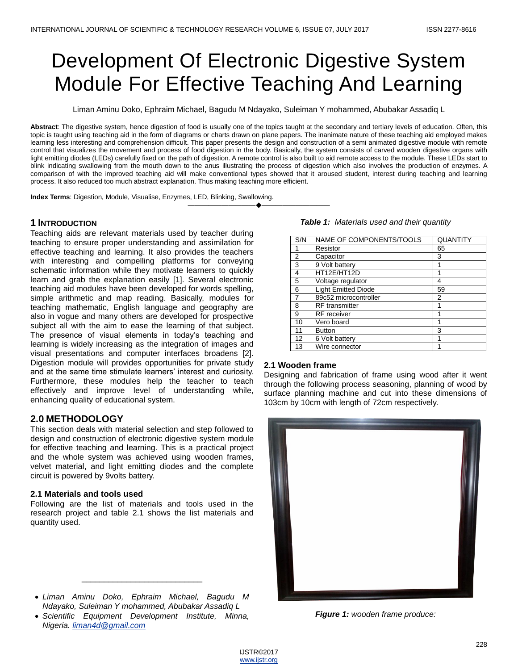# Development Of Electronic Digestive System Module For Effective Teaching And Learning

Liman Aminu Doko, Ephraim Michael, Bagudu M Ndayako, Suleiman Y mohammed, Abubakar Assadiq L

**Abstract**: The digestive system, hence digestion of food is usually one of the topics taught at the secondary and tertiary levels of education. Often, this topic is taught using teaching aid in the form of diagrams or charts drawn on plane papers. The inanimate nature of these teaching aid employed makes learning less interesting and comprehension difficult. This paper presents the design and construction of a semi animated digestive module with remote control that visualizes the movement and process of food digestion in the body. Basically, the system consists of carved wooden digestive organs with light emitting diodes (LEDs) carefully fixed on the path of digestion. A remote control is also built to aid remote access to the module. These LEDs start to blink indicating swallowing from the mouth down to the anus illustrating the process of digestion which also involves the production of enzymes. A comparison of with the improved teaching aid will make conventional types showed that it aroused student, interest during teaching and learning process. It also reduced too much abstract explanation. Thus making teaching more efficient.

————————————————————

**Index Terms**: Digestion, Module, Visualise, Enzymes, LED, Blinking, Swallowing.

## **1 INTRODUCTION**

Teaching aids are relevant materials used by teacher during teaching to ensure proper understanding and assimilation for effective teaching and learning. It also provides the teachers with interesting and compelling platforms for conveying schematic information while they motivate learners to quickly learn and grab the explanation easily [1]. Several electronic teaching aid modules have been developed for words spelling, simple arithmetic and map reading. Basically, modules for teaching mathematic, English language and geography are also in vogue and many others are developed for prospective subject all with the aim to ease the learning of that subject. The presence of visual elements in today's teaching and learning is widely increasing as the integration of images and visual presentations and computer interfaces broadens [2]. Digestion module will provides opportunities for private study and at the same time stimulate learners' interest and curiosity. Furthermore, these modules help the teacher to teach effectively and improve level of understanding while, enhancing quality of educational system.

## **2.0 METHODOLOGY**

This section deals with material selection and step followed to design and construction of electronic digestive system module for effective teaching and learning. This is a practical project and the whole system was achieved using wooden frames, velvet material, and light emitting diodes and the complete circuit is powered by 9volts battery.

## **2.1 Materials and tools used**

Following are the list of materials and tools used in the research project and table 2.1 shows the list materials and quantity used.

 *Liman Aminu Doko, Ephraim Michael, Bagudu M Ndayako, Suleiman Y mohammed, Abubakar Assadiq L*

\_\_\_\_\_\_\_\_\_\_\_\_\_\_\_\_\_\_\_\_\_\_\_\_\_\_\_

 *Scientific Equipment Development Institute, Minna, Nigeria[. liman4d@gmail.com](mailto:liman4d@gmail.com)*

| S/N | NAME OF COMPONENTS/TOOLS   | <b>QUANTITY</b> |
|-----|----------------------------|-----------------|
|     | Resistor                   | 65              |
| 2   | Capacitor                  | 3               |
| 3   | 9 Volt battery             |                 |
| 4   | HT12E/HT12D                |                 |
| 5   | Voltage regulator          | 4               |
| 6   | <b>Light Emitted Diode</b> | 59              |
| 7   | 89c52 microcontroller      | 2               |
| 8   | <b>RF</b> transmitter      | 1               |
| 9   | <b>RF</b> receiver         |                 |
| 10  | Vero board                 | 1               |
| 11  | <b>Button</b>              | 3               |
| 12  | 6 Volt battery             | 1               |
| 13  | Wire connector             |                 |

#### **2.1 Wooden frame**

Designing and fabrication of frame using wood after it went through the following process seasoning, planning of wood by surface planning machine and cut into these dimensions of 103cm by 10cm with length of 72cm respectively.



*Figure 1: wooden frame produce:*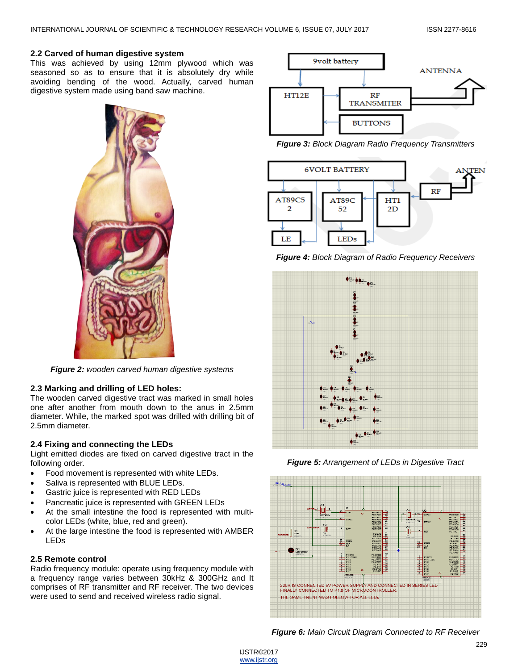## **2.2 Carved of human digestive system**

This was achieved by using 12mm plywood which was seasoned so as to ensure that it is absolutely dry while avoiding bending of the wood. Actually, carved human digestive system made using band saw machine.



*Figure 2: wooden carved human digestive systems*

## **2.3 Marking and drilling of LED holes:**

The wooden carved digestive tract was marked in small holes one after another from mouth down to the anus in 2.5mm diameter. While, the marked spot was drilled with drilling bit of 2.5mm diameter.

## **2.4 Fixing and connecting the LEDs**

Light emitted diodes are fixed on carved digestive tract in the following order.

- Food movement is represented with white LEDs.
- Saliva is represented with BLUE LEDs.
- Gastric juice is represented with RED LEDs
- Pancreatic juice is represented with GREEN LEDs
- At the small intestine the food is represented with multicolor LEDs (white, blue, red and green).
- At the large intestine the food is represented with AMBER LEDs

## **2.5 Remote control**

Radio frequency module: operate using frequency module with a frequency range varies between 30kHz & 300GHz and It comprises of RF transmitter and RF receiver. The two devices were used to send and received wireless radio signal.



*Figure 3: Block Diagram Radio Frequency Transmitters*



*Figure 4: Block Diagram of Radio Frequency Receivers*



*Figure 5: Arrangement of LEDs in Digestive Tract*



*Figure 6: Main Circuit Diagram Connected to RF Receiver*